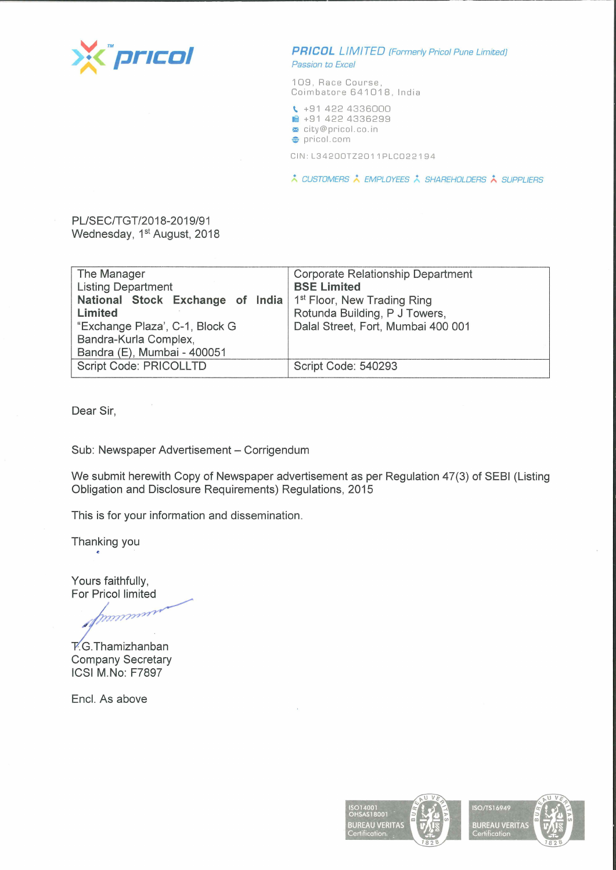

**PRICOL** LIMITED [Formerly Pricol Pune Limited] Passion to Excel

109, Race Course, Coimbatore 641018, India

**t..** +91 422 4336000

- **ii** +91 422 4336299
- <sup>~</sup>city@pricol.co . in

**e** pricol . com

CIN: L34200TZ2011 PLC022194

\* CUSTOMERS \* EMPLOYEES \* SHAREHOLDERS \* SUPPLIERS

## PL/SEC/TGT/2018-2019/91 Wednesday, 1<sup>st</sup> August, 2018

| The Manager                      | Corporate Relationship Department       |
|----------------------------------|-----------------------------------------|
| <b>Listing Department</b>        | <b>BSE Limited</b>                      |
| National Stock Exchange of India | 1 <sup>st</sup> Floor, New Trading Ring |
| Limited                          | Rotunda Building, P J Towers,           |
| "Exchange Plaza', C-1, Block G   | Dalal Street, Fort, Mumbai 400 001      |
| Bandra-Kurla Complex,            |                                         |
| Bandra (E), Mumbai - 400051      |                                         |
| Script Code: PRICOLLTD           | Script Code: 540293                     |
|                                  |                                         |

Dear Sir,

Sub: Newspaper Advertisement - Corrigendum

We submit herewith Copy of Newspaper advertisement as per Regulation 47(3) of SEBI (Listing Obligation and Disclosure Requirements) Regulations, 2015

This is for your information and dissemination.

Thanking you

Yours faithfully, For Pricol limited

munum

 $\overline{Y}$ .G.Thamizhanban Company Secretary **ICSI M.No:** F7897

Encl. As above